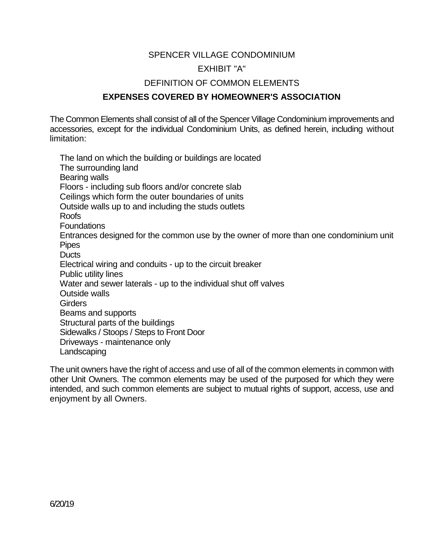## SPENCER VILLAGE CONDOMINIUM EXHIBIT "A" DEFINITION OF COMMON ELEMENTS

## **EXPENSES COVERED BY HOMEOWNER'S ASSOCIATION**

The Common Elements shall consist of all of the Spencer Village Condominium improvements and accessories, except for the individual Condominium Units, as defined herein, including without limitation:

The land on which the building or buildings are located The surrounding land Bearing walls Floors - including sub floors and/or concrete slab Ceilings which form the outer boundaries of units Outside walls up to and including the studs outlets Roofs Foundations Entrances designed for the common use by the owner of more than one condominium unit Pipes **Ducts** Electrical wiring and conduits - up to the circuit breaker Public utility lines Water and sewer laterals - up to the individual shut off valves Outside walls **Girders** Beams and supports Structural parts of the buildings Sidewalks / Stoops / Steps to Front Door Driveways - maintenance only Landscaping

The unit owners have the right of access and use of all of the common elements in common with other Unit Owners. The common elements may be used of the purposed for which they were intended, and such common elements are subject to mutual rights of support, access, use and enjoyment by all Owners.